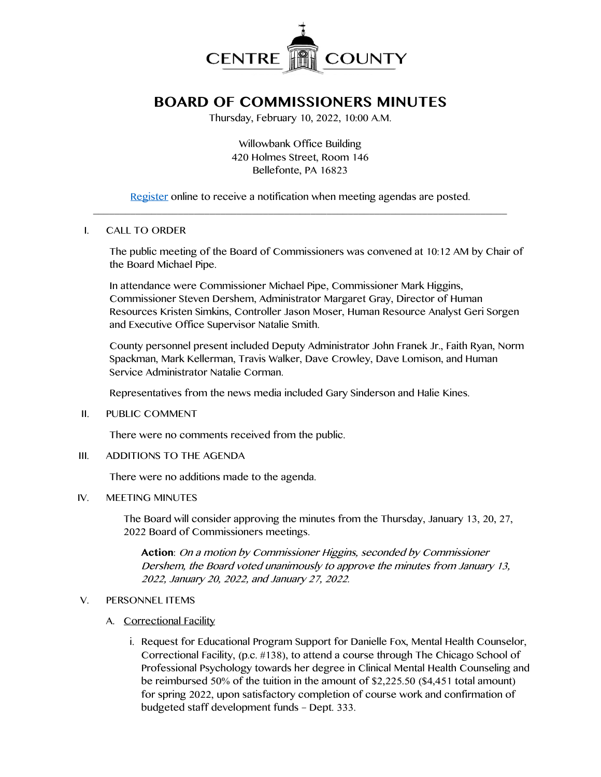

# **BOARD OF COMMISSIONERS MINUTES**

Thursday, February 10, 2022, 10:00 A.M.

Willowbank Office Building 420 Holmes Street, Room 146 Bellefonte, PA 16823

[Register](http://www.centrecountypa.gov/AgendaCenter) online to receive a notification when meeting agendas are posted.  $\overline{\phantom{a}}$  , and the contribution of the contribution of the contribution of the contribution of the contribution of the contribution of the contribution of the contribution of the contribution of the contribution of the

## I. CALL TO ORDER

The public meeting of the Board of Commissioners was convened at 10:12 AM by Chair of the Board Michael Pipe.

In attendance were Commissioner Michael Pipe, Commissioner Mark Higgins, Commissioner Steven Dershem, Administrator Margaret Gray, Director of Human Resources Kristen Simkins, Controller Jason Moser, Human Resource Analyst Geri Sorgen and Executive Office Supervisor Natalie Smith.

County personnel present included Deputy Administrator John Franek Jr., Faith Ryan, Norm Spackman, Mark Kellerman, Travis Walker, Dave Crowley, Dave Lomison, and Human Service Administrator Natalie Corman.

Representatives from the news media included Gary Sinderson and Halie Kines.

II. PUBLIC COMMENT

There were no comments received from the public.

III. ADDITIONS TO THE AGENDA

There were no additions made to the agenda.

IV. MEETING MINUTES

The Board will consider approving the minutes from the Thursday, January 13, 20, 27, 2022 Board of Commissioners meetings.

**Action**: On a motion by Commissioner Higgins, seconded by Commissioner Dershem, the Board voted unanimously to approve the minutes from January 13, 2022, January 20, 2022, and January 27, 2022.

# V. PERSONNEL ITEMS

- A. Correctional Facility
	- i. Request for Educational Program Support for Danielle Fox, Mental Health Counselor, Correctional Facility, (p.c. #138), to attend a course through The Chicago School of Professional Psychology towards her degree in Clinical Mental Health Counseling and be reimbursed 50% of the tuition in the amount of \$2,225.50 (\$4,451 total amount) for spring 2022, upon satisfactory completion of course work and confirmation of budgeted staff development funds – Dept. 333.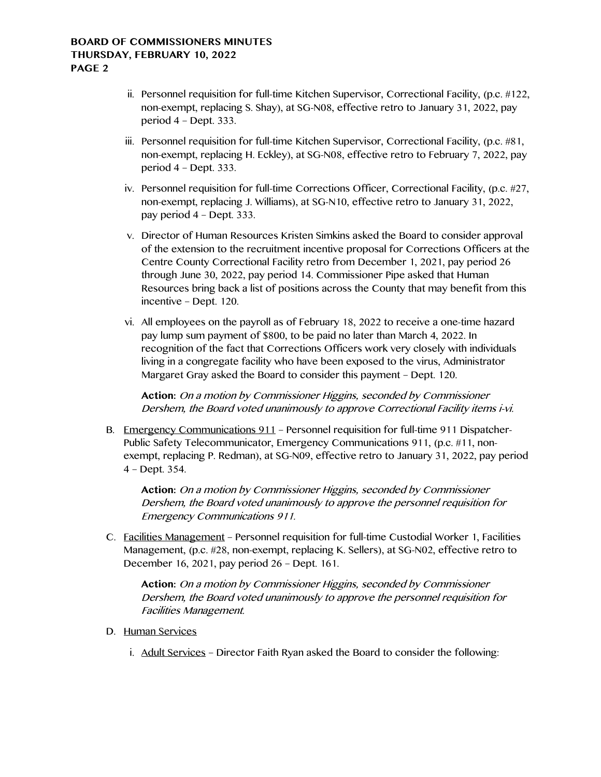- ii. Personnel requisition for full-time Kitchen Supervisor, Correctional Facility, (p.c. #122, non-exempt, replacing S. Shay), at SG-N08, effective retro to January 31, 2022, pay period 4 – Dept. 333.
- iii. Personnel requisition for full-time Kitchen Supervisor, Correctional Facility, (p.c. #81, non-exempt, replacing H. Eckley), at SG-N08, effective retro to February 7, 2022, pay period 4 – Dept. 333.
- iv. Personnel requisition for full-time Corrections Officer, Correctional Facility, (p.c. #27, non-exempt, replacing J. Williams), at SG-N10, effective retro to January 31, 2022, pay period 4 – Dept. 333.
- v. Director of Human Resources Kristen Simkins asked the Board to consider approval of the extension to the recruitment incentive proposal for Corrections Officers at the Centre County Correctional Facility retro from December 1, 2021, pay period 26 through June 30, 2022, pay period 14. Commissioner Pipe asked that Human Resources bring back a list of positions across the County that may benefit from this incentive – Dept. 120.
- vi. All employees on the payroll as of February 18, 2022 to receive a one-time hazard pay lump sum payment of \$800, to be paid no later than March 4, 2022. In recognition of the fact that Corrections Officers work very closely with individuals living in a congregate facility who have been exposed to the virus, Administrator Margaret Gray asked the Board to consider this payment – Dept. 120.

**Action:** On a motion by Commissioner Higgins, seconded by Commissioner Dershem, the Board voted unanimously to approve Correctional Facility items i-vi.

B. Emergency Communications 911 – Personnel requisition for full-time 911 Dispatcher-Public Safety Telecommunicator, Emergency Communications 911, (p.c. #11, nonexempt, replacing P. Redman), at SG-N09, effective retro to January 31, 2022, pay period 4 – Dept. 354.

**Action:** On a motion by Commissioner Higgins, seconded by Commissioner Dershem, the Board voted unanimously to approve the personnel requisition for Emergency Communications 911.

C. Facilities Management – Personnel requisition for full-time Custodial Worker 1, Facilities Management, (p.c. #28, non-exempt, replacing K. Sellers), at SG-N02, effective retro to December 16, 2021, pay period 26 – Dept. 161.

**Action:** On a motion by Commissioner Higgins, seconded by Commissioner Dershem, the Board voted unanimously to approve the personnel requisition for Facilities Management.

- D. Human Services
	- i. Adult Services Director Faith Ryan asked the Board to consider the following: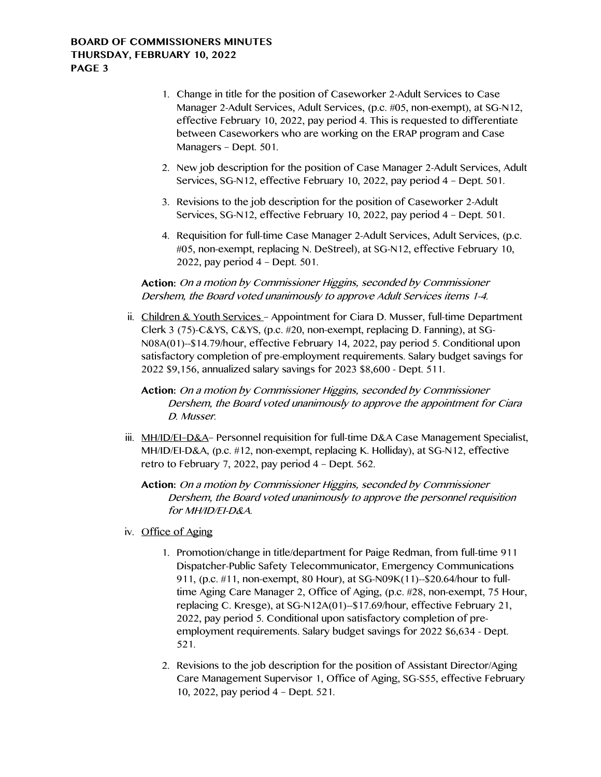# **BOARD OF COMMISSIONERS MINUTES THURSDAY, FEBRUARY 10, 2022 PAGE 3**

- 1. Change in title for the position of Caseworker 2-Adult Services to Case Manager 2-Adult Services, Adult Services, (p.c. #05, non-exempt), at SG-N12, effective February 10, 2022, pay period 4. This is requested to differentiate between Caseworkers who are working on the ERAP program and Case Managers – Dept. 501.
- 2. New job description for the position of Case Manager 2-Adult Services, Adult Services, SG-N12, effective February 10, 2022, pay period 4 – Dept. 501.
- 3. Revisions to the job description for the position of Caseworker 2-Adult Services, SG-N12, effective February 10, 2022, pay period 4 – Dept. 501.
- 4. Requisition for full-time Case Manager 2-Adult Services, Adult Services, (p.c. #05, non-exempt, replacing N. DeStreel), at SG-N12, effective February 10, 2022, pay period 4 – Dept. 501.

**Action:** On a motion by Commissioner Higgins, seconded by Commissioner Dershem, the Board voted unanimously to approve Adult Services items 1-4.

ii. Children & Youth Services – Appointment for Ciara D. Musser, full-time Department Clerk 3 (75)-C&YS, C&YS, (p.c. #20, non-exempt, replacing D. Fanning), at SG-N08A(01)--\$14.79/hour, effective February 14, 2022, pay period 5. Conditional upon satisfactory completion of pre-employment requirements. Salary budget savings for 2022 \$9,156, annualized salary savings for 2023 \$8,600 - Dept. 511.

**Action:** On a motion by Commissioner Higgins, seconded by Commissioner Dershem, the Board voted unanimously to approve the appointment for Ciara D. Musser.

iii. MH/ID/EI–D&A– Personnel requisition for full-time D&A Case Management Specialist, MH/ID/EI-D&A, (p.c. #12, non-exempt, replacing K. Holliday), at SG-N12, effective retro to February 7, 2022, pay period 4 – Dept. 562.

**Action:** On a motion by Commissioner Higgins, seconded by Commissioner Dershem, the Board voted unanimously to approve the personnel requisition for MH/ID/EI-D&A.

- iv. Office of Aging
	- 1. Promotion/change in title/department for Paige Redman, from full-time 911 Dispatcher-Public Safety Telecommunicator, Emergency Communications 911, (p.c. #11, non-exempt, 80 Hour), at SG-N09K(11)--\$20.64/hour to fulltime Aging Care Manager 2, Office of Aging, (p.c. #28, non-exempt, 75 Hour, replacing C. Kresge), at SG-N12A(01)--\$17.69/hour, effective February 21, 2022, pay period 5. Conditional upon satisfactory completion of preemployment requirements. Salary budget savings for 2022 \$6,634 - Dept. 521.
	- 2. Revisions to the job description for the position of Assistant Director/Aging Care Management Supervisor 1, Office of Aging, SG-S55, effective February 10, 2022, pay period 4 – Dept. 521.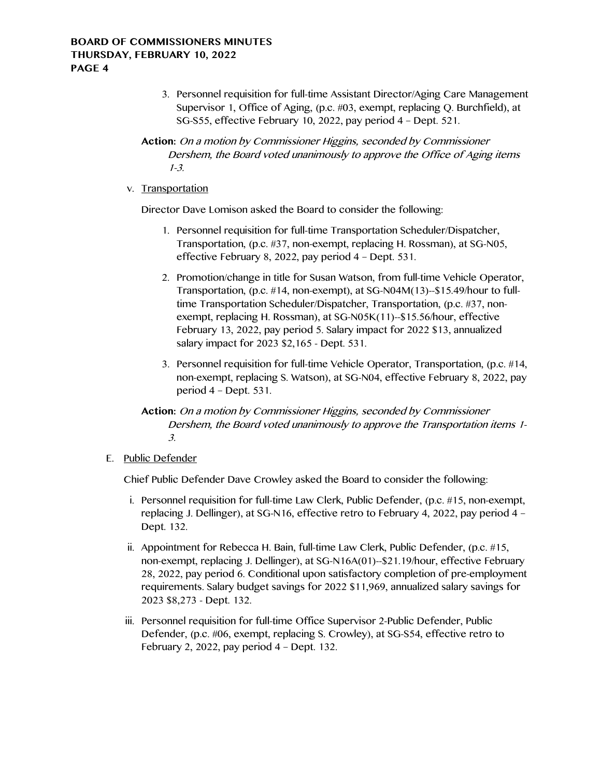3. Personnel requisition for full-time Assistant Director/Aging Care Management Supervisor 1, Office of Aging, (p.c. #03, exempt, replacing Q. Burchfield), at SG-S55, effective February 10, 2022, pay period 4 – Dept. 521.

**Action:** On a motion by Commissioner Higgins, seconded by Commissioner Dershem, the Board voted unanimously to approve the Office of Aging items 1-3.

v. Transportation

Director Dave Lomison asked the Board to consider the following:

- 1. Personnel requisition for full-time Transportation Scheduler/Dispatcher, Transportation, (p.c. #37, non-exempt, replacing H. Rossman), at SG-N05, effective February 8, 2022, pay period 4 – Dept. 531.
- 2. Promotion/change in title for Susan Watson, from full-time Vehicle Operator, Transportation, (p.c. #14, non-exempt), at SG-N04M(13)--\$15.49/hour to fulltime Transportation Scheduler/Dispatcher, Transportation, (p.c. #37, nonexempt, replacing H. Rossman), at SG-N05K(11)--\$15.56/hour, effective February 13, 2022, pay period 5. Salary impact for 2022 \$13, annualized salary impact for 2023 \$2,165 - Dept. 531.
- 3. Personnel requisition for full-time Vehicle Operator, Transportation, (p.c. #14, non-exempt, replacing S. Watson), at SG-N04, effective February 8, 2022, pay period 4 – Dept. 531.
- **Action:** On a motion by Commissioner Higgins, seconded by Commissioner Dershem, the Board voted unanimously to approve the Transportation items 1- 3.

#### E. Public Defender

Chief Public Defender Dave Crowley asked the Board to consider the following:

- i. Personnel requisition for full-time Law Clerk, Public Defender, (p.c. #15, non-exempt, replacing J. Dellinger), at SG-N16, effective retro to February 4, 2022, pay period 4 – Dept. 132.
- ii. Appointment for Rebecca H. Bain, full-time Law Clerk, Public Defender, (p.c. #15, non-exempt, replacing J. Dellinger), at SG-N16A(01)--\$21.19/hour, effective February 28, 2022, pay period 6. Conditional upon satisfactory completion of pre-employment requirements. Salary budget savings for 2022 \$11,969, annualized salary savings for 2023 \$8,273 - Dept. 132.
- iii. Personnel requisition for full-time Office Supervisor 2-Public Defender, Public Defender, (p.c. #06, exempt, replacing S. Crowley), at SG-S54, effective retro to February 2, 2022, pay period 4 – Dept. 132.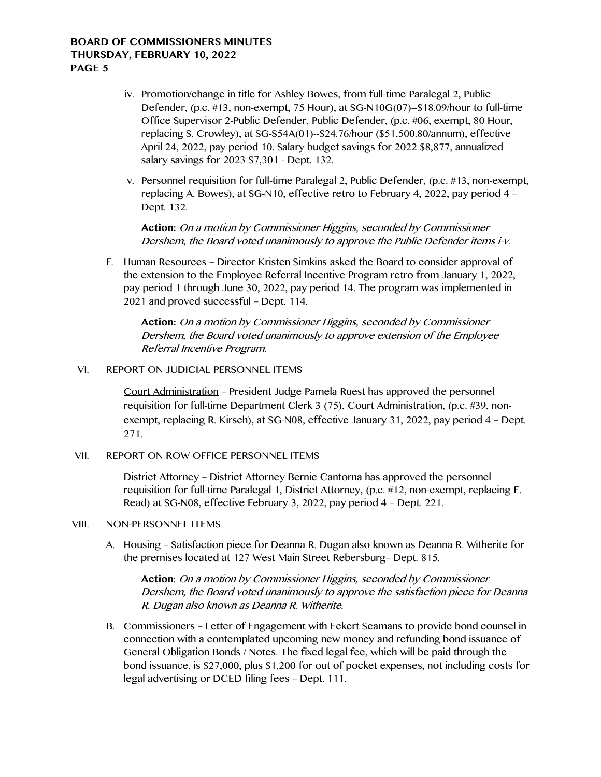## **BOARD OF COMMISSIONERS MINUTES THURSDAY, FEBRUARY 10, 2022 PAGE 5**

- iv. Promotion/change in title for Ashley Bowes, from full-time Paralegal 2, Public Defender, (p.c. #13, non-exempt, 75 Hour), at SG-N10G(07)--\$18.09/hour to full-time Office Supervisor 2-Public Defender, Public Defender, (p.c. #06, exempt, 80 Hour, replacing S. Crowley), at SG-S54A(01)--\$24.76/hour (\$51,500.80/annum), effective April 24, 2022, pay period 10. Salary budget savings for 2022 \$8,877, annualized salary savings for 2023 \$7,301 - Dept. 132.
- v. Personnel requisition for full-time Paralegal 2, Public Defender, (p.c. #13, non-exempt, replacing A. Bowes), at SG-N10, effective retro to February 4, 2022, pay period 4 – Dept. 132.

**Action:** On a motion by Commissioner Higgins, seconded by Commissioner Dershem, the Board voted unanimously to approve the Public Defender items i-v.

F. Human Resources – Director Kristen Simkins asked the Board to consider approval of the extension to the Employee Referral Incentive Program retro from January 1, 2022, pay period 1 through June 30, 2022, pay period 14. The program was implemented in 2021 and proved successful – Dept. 114.

**Action:** On a motion by Commissioner Higgins, seconded by Commissioner Dershem, the Board voted unanimously to approve extension of the Employee Referral Incentive Program.

#### VI. REPORT ON JUDICIAL PERSONNEL ITEMS

Court Administration – President Judge Pamela Ruest has approved the personnel requisition for full-time Department Clerk 3 (75), Court Administration, (p.c. #39, nonexempt, replacing R. Kirsch), at SG-N08, effective January 31, 2022, pay period 4 – Dept. 271.

#### VII. REPORT ON ROW OFFICE PERSONNEL ITEMS

District Attorney – District Attorney Bernie Cantorna has approved the personnel requisition for full-time Paralegal 1, District Attorney, (p.c. #12, non-exempt, replacing E. Read) at SG-N08, effective February 3, 2022, pay period 4 – Dept. 221.

### VIII. NON-PERSONNEL ITEMS

A. Housing – Satisfaction piece for Deanna R. Dugan also known as Deanna R. Witherite for the premises located at 127 West Main Street Rebersburg– Dept. 815.

**Action**: On a motion by Commissioner Higgins, seconded by Commissioner Dershem, the Board voted unanimously to approve the satisfaction piece for Deanna R. Dugan also known as Deanna R. Witherite.

B. Commissioners – Letter of Engagement with Eckert Seamans to provide bond counsel in connection with a contemplated upcoming new money and refunding bond issuance of General Obligation Bonds / Notes. The fixed legal fee, which will be paid through the bond issuance, is \$27,000, plus \$1,200 for out of pocket expenses, not including costs for legal advertising or DCED filing fees – Dept. 111.